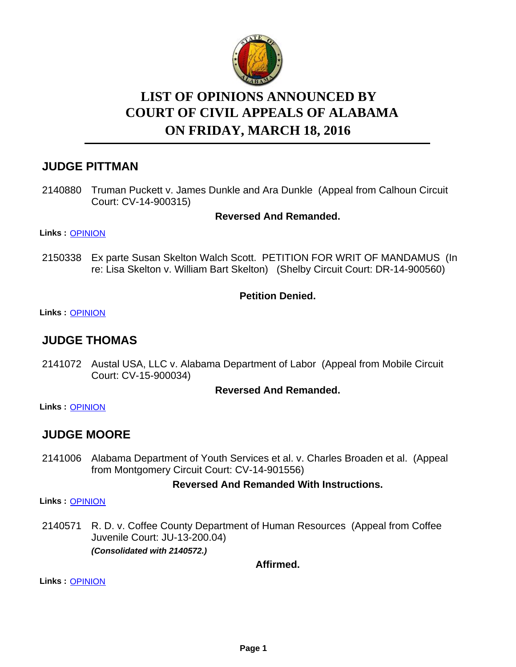

# **LIST OF OPINIONS ANNOUNCED BY ON FRIDAY, MARCH 18, 2016 COURT OF CIVIL APPEALS OF ALABAMA**

## **JUDGE PITTMAN**

2140880 Truman Puckett v. James Dunkle and Ara Dunkle (Appeal from Calhoun Circuit Court: CV-14-900315)

## **Reversed And Remanded.**

**Links :** [OPINION](https://acis.alabama.gov/displaydocs.cfm?no=723948&event=4LA0KHC8U)

2150338 Ex parte Susan Skelton Walch Scott. PETITION FOR WRIT OF MANDAMUS (In re: Lisa Skelton v. William Bart Skelton) (Shelby Circuit Court: DR-14-900560)

## **Petition Denied.**

**Links :** [OPINION](https://acis.alabama.gov/displaydocs.cfm?no=723955&event=4LA0KHDQ4)

## **JUDGE THOMAS**

2141072 Austal USA, LLC v. Alabama Department of Labor (Appeal from Mobile Circuit Court: CV-15-900034)

## **Reversed And Remanded.**

**Links :** [OPINION](https://acis.alabama.gov/displaydocs.cfm?no=723953&event=4LA0KHDC9)

## **JUDGE MOORE**

2141006 Alabama Department of Youth Services et al. v. Charles Broaden et al. (Appeal from Montgomery Circuit Court: CV-14-901556)

## **Reversed And Remanded With Instructions.**

**Links :** [OPINION](https://acis.alabama.gov/displaydocs.cfm?no=723952&event=4LA0KHD5B)

2140571 R.D. v. Coffee County Department of Human Resources (Appeal from Coffee Juvenile Court: JU-13-200.04) *(Consolidated with 2140572.)*

**Affirmed.**

**Links :** [OPINION](https://acis.alabama.gov/displaydocs.cfm?no=723947&event=4LA0KHAYX)